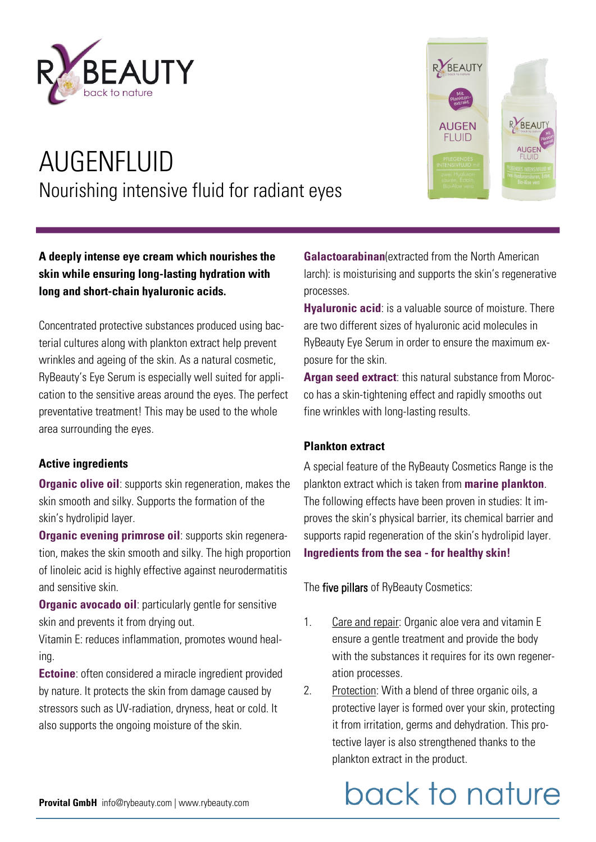

### AUGENFLUID Nourishing intensive fluid for radiant eyes



Concentrated protective substances produced using bacterial cultures along with plankton extract help prevent wrinkles and ageing of the skin. As a natural cosmetic, RyBeauty's Eye Serum is especially well suited for application to the sensitive areas around the eyes. The perfect preventative treatment! This may be used to the whole area surrounding the eyes.

#### **Active ingredients**

**Organic olive oil:** supports skin regeneration, makes the skin smooth and silky. Supports the formation of the skin's hydrolipid layer.

**Organic evening primrose oil**: supports skin regeneration, makes the skin smooth and silky. The high proportion of linoleic acid is highly effective against neurodermatitis and sensitive skin.

**Organic avocado oil:** particularly gentle for sensitive skin and prevents it from drying out.

Vitamin E: reduces inflammation, promotes wound healing.

**Ectoine**: often considered a miracle ingredient provided by nature. It protects the skin from damage caused by stressors such as UV-radiation, dryness, heat or cold. It also supports the ongoing moisture of the skin.



**Hyaluronic acid**: is a valuable source of moisture. There are two different sizes of hyaluronic acid molecules in RyBeauty Eye Serum in order to ensure the maximum exposure for the skin.

**Argan seed extract**: this natural substance from Morocco has a skin-tightening effect and rapidly smooths out fine wrinkles with long-lasting results.

#### **Plankton extract**

A special feature of the RyBeauty Cosmetics Range is the plankton extract which is taken from **marine plankton**. The following effects have been proven in studies: It improves the skin's physical barrier, its chemical barrier and supports rapid regeneration of the skin's hydrolipid layer. **Ingredients from the sea - for healthy skin!**

The five pillars of RyBeauty Cosmetics:

- 1. Care and repair: Organic aloe vera and vitamin E ensure a gentle treatment and provide the body with the substances it requires for its own regeneration processes.
- 2. Protection: With a blend of three organic oils, a protective layer is formed over your skin, protecting it from irritation, germs and dehydration. This protective layer is also strengthened thanks to the plankton extract in the product.

## back to nature